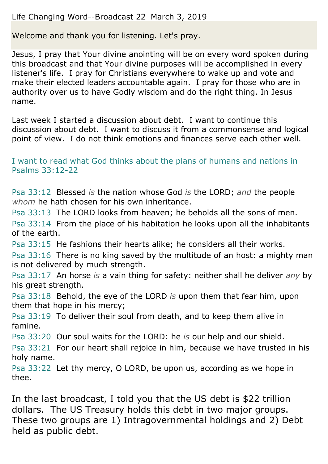## Life Changing Word--Broadcast 22 March 3, 2019

Welcome and thank you for listening. Let's pray.

Jesus, I pray that Your divine anointing will be on every word spoken during this broadcast and that Your divine purposes will be accomplished in every listener's life. I pray for Christians everywhere to wake up and vote and make their elected leaders accountable again. I pray for those who are in authority over us to have Godly wisdom and do the right thing. In Jesus name.

Last week I started a discussion about debt. I want to continue this discussion about debt. I want to discuss it from a commonsense and logical point of view. I do not think emotions and finances serve each other well.

I want to read what God thinks about the plans of humans and nations in Psalms 33:12-22

Psa 33:12 Blessed *is* the nation whose God *is* the LORD; *and* the people *whom* he hath chosen for his own inheritance.

Psa 33:13 The LORD looks from heaven; he beholds all the sons of men. Psa 33:14 From the place of his habitation he looks upon all the inhabitants of the earth.

Psa 33:15 He fashions their hearts alike; he considers all their works.

Psa 33:16 There is no king saved by the multitude of an host: a mighty man is not delivered by much strength.

Psa 33:17 An horse *is* a vain thing for safety: neither shall he deliver *any* by his great strength.

Psa 33:18 Behold, the eye of the LORD *is* upon them that fear him, upon them that hope in his mercy;

Psa 33:19 To deliver their soul from death, and to keep them alive in famine.

Psa 33:20 Our soul waits for the LORD: he *is* our help and our shield.

Psa 33:21 For our heart shall rejoice in him, because we have trusted in his holy name.

Psa 33:22 Let thy mercy, O LORD, be upon us, according as we hope in thee.

In the last broadcast, I told you that the US debt is \$22 trillion dollars. The US Treasury holds this debt in two major groups. These two groups are 1) Intragovernmental holdings and 2) Debt held as public debt.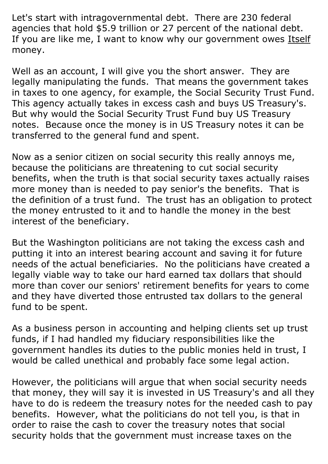Let's start with intragovernmental debt. There are 230 federal agencies that hold \$5.9 trillion or 27 percent of the national debt. If you are like me, I want to know why our government owes Itself money.

Well as an account, I will give you the short answer. They are legally manipulating the funds. That means the government takes in taxes to one agency, for example, the Social Security Trust Fund. This agency actually takes in excess cash and buys US Treasury's. But why would the Social Security Trust Fund buy US Treasury notes. Because once the money is in US Treasury notes it can be transferred to the general fund and spent.

Now as a senior citizen on social security this really annoys me, because the politicians are threatening to cut social security benefits, when the truth is that social security taxes actually raises more money than is needed to pay senior's the benefits. That is the definition of a trust fund. The trust has an obligation to protect the money entrusted to it and to handle the money in the best interest of the beneficiary.

But the Washington politicians are not taking the excess cash and putting it into an interest bearing account and saving it for future needs of the actual beneficiaries. No the politicians have created a legally viable way to take our hard earned tax dollars that should more than cover our seniors' retirement benefits for years to come and they have diverted those entrusted tax dollars to the general fund to be spent.

As a business person in accounting and helping clients set up trust funds, if I had handled my fiduciary responsibilities like the government handles its duties to the public monies held in trust, I would be called unethical and probably face some legal action.

However, the politicians will argue that when social security needs that money, they will say it is invested in US Treasury's and all they have to do is redeem the treasury notes for the needed cash to pay benefits. However, what the politicians do not tell you, is that in order to raise the cash to cover the treasury notes that social security holds that the government must increase taxes on the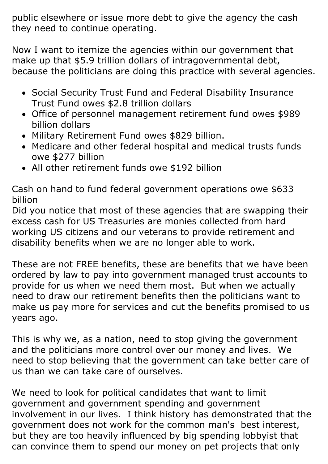public elsewhere or issue more debt to give the agency the cash they need to continue operating.

Now I want to itemize the agencies within our government that make up that \$5.9 trillion dollars of intragovernmental debt, because the politicians are doing this practice with several agencies.

- Social Security Trust Fund and Federal Disability Insurance Trust Fund owes \$2.8 trillion dollars
- Office of personnel management retirement fund owes \$989 billion dollars
- Military Retirement Fund owes \$829 billion.
- Medicare and other federal hospital and medical trusts funds owe \$277 billion
- All other retirement funds owe \$192 billion

Cash on hand to fund federal government operations owe \$633 billion

Did you notice that most of these agencies that are swapping their excess cash for US Treasuries are monies collected from hard working US citizens and our veterans to provide retirement and disability benefits when we are no longer able to work.

These are not FREE benefits, these are benefits that we have been ordered by law to pay into government managed trust accounts to provide for us when we need them most. But when we actually need to draw our retirement benefits then the politicians want to make us pay more for services and cut the benefits promised to us years ago.

This is why we, as a nation, need to stop giving the government and the politicians more control over our money and lives. We need to stop believing that the government can take better care of us than we can take care of ourselves.

We need to look for political candidates that want to limit government and government spending and government involvement in our lives. I think history has demonstrated that the government does not work for the common man's best interest, but they are too heavily influenced by big spending lobbyist that can convince them to spend our money on pet projects that only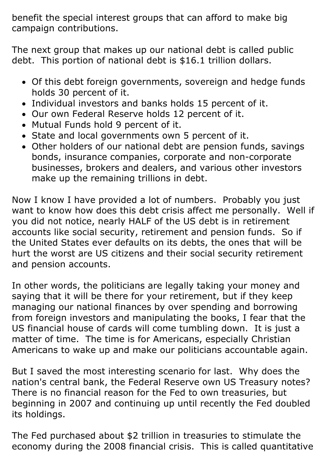benefit the special interest groups that can afford to make big campaign contributions.

The next group that makes up our national debt is called public debt. This portion of national debt is \$16.1 trillion dollars.

- Of this debt foreign governments, sovereign and hedge funds holds 30 percent of it.
- Individual investors and banks holds 15 percent of it.
- Our own Federal Reserve holds 12 percent of it.
- Mutual Funds hold 9 percent of it.
- State and local governments own 5 percent of it.
- Other holders of our national debt are pension funds, savings bonds, insurance companies, corporate and non-corporate businesses, brokers and dealers, and various other investors make up the remaining trillions in debt.

Now I know I have provided a lot of numbers. Probably you just want to know how does this debt crisis affect me personally. Well if you did not notice, nearly HALF of the US debt is in retirement accounts like social security, retirement and pension funds. So if the United States ever defaults on its debts, the ones that will be hurt the worst are US citizens and their social security retirement and pension accounts.

In other words, the politicians are legally taking your money and saying that it will be there for your retirement, but if they keep managing our national finances by over spending and borrowing from foreign investors and manipulating the books, I fear that the US financial house of cards will come tumbling down. It is just a matter of time. The time is for Americans, especially Christian Americans to wake up and make our politicians accountable again.

But I saved the most interesting scenario for last. Why does the nation's central bank, the Federal Reserve own US Treasury notes? There is no financial reason for the Fed to own treasuries, but beginning in 2007 and continuing up until recently the Fed doubled its holdings.

The Fed purchased about \$2 trillion in treasuries to stimulate the economy during the 2008 financial crisis. This is called quantitative